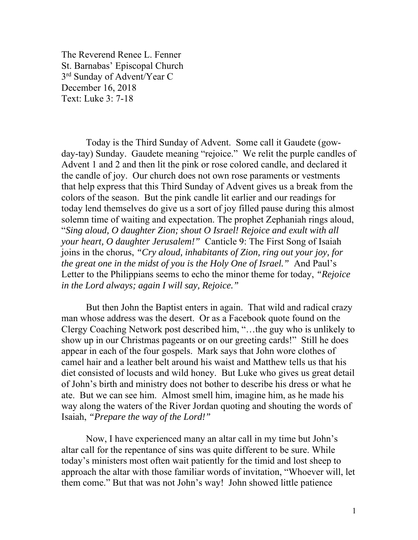The Reverend Renee L. Fenner St. Barnabas' Episcopal Church 3<sup>rd</sup> Sunday of Advent/Year C December 16, 2018 Text: Luke 3: 7-18

 Today is the Third Sunday of Advent. Some call it Gaudete (gowday-tay) Sunday. Gaudete meaning "rejoice." We relit the purple candles of Advent 1 and 2 and then lit the pink or rose colored candle, and declared it the candle of joy. Our church does not own rose paraments or vestments that help express that this Third Sunday of Advent gives us a break from the colors of the season. But the pink candle lit earlier and our readings for today lend themselves do give us a sort of joy filled pause during this almost solemn time of waiting and expectation. The prophet Zephaniah rings aloud, "*Sing aloud, O daughter Zion; shout O Israel! Rejoice and exult with all your heart, O daughter Jerusalem!"* Canticle 9: The First Song of Isaiah joins in the chorus, *"Cry aloud, inhabitants of Zion, ring out your joy, for the great one in the midst of you is the Holy One of Israel."* And Paul's Letter to the Philippians seems to echo the minor theme for today, *"Rejoice in the Lord always; again I will say, Rejoice."* 

 But then John the Baptist enters in again. That wild and radical crazy man whose address was the desert. Or as a Facebook quote found on the Clergy Coaching Network post described him, "…the guy who is unlikely to show up in our Christmas pageants or on our greeting cards!" Still he does appear in each of the four gospels. Mark says that John wore clothes of camel hair and a leather belt around his waist and Matthew tells us that his diet consisted of locusts and wild honey. But Luke who gives us great detail of John's birth and ministry does not bother to describe his dress or what he ate. But we can see him. Almost smell him, imagine him, as he made his way along the waters of the River Jordan quoting and shouting the words of Isaiah, *"Prepare the way of the Lord!"*

Now, I have experienced many an altar call in my time but John's altar call for the repentance of sins was quite different to be sure. While today's ministers most often wait patiently for the timid and lost sheep to approach the altar with those familiar words of invitation, "Whoever will, let them come." But that was not John's way! John showed little patience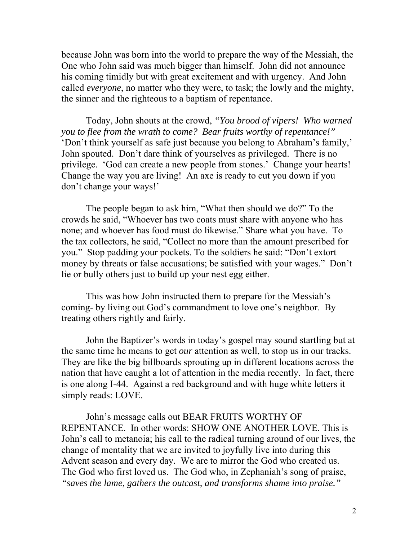because John was born into the world to prepare the way of the Messiah, the One who John said was much bigger than himself. John did not announce his coming timidly but with great excitement and with urgency. And John called *everyone*, no matter who they were, to task; the lowly and the mighty, the sinner and the righteous to a baptism of repentance.

 Today, John shouts at the crowd, *"You brood of vipers! Who warned you to flee from the wrath to come? Bear fruits worthy of repentance!"* 'Don't think yourself as safe just because you belong to Abraham's family,' John spouted. Don't dare think of yourselves as privileged. There is no privilege. 'God can create a new people from stones.' Change your hearts! Change the way you are living! An axe is ready to cut you down if you don't change your ways!'

The people began to ask him, "What then should we do?" To the crowds he said, "Whoever has two coats must share with anyone who has none; and whoever has food must do likewise." Share what you have. To the tax collectors, he said, "Collect no more than the amount prescribed for you." Stop padding your pockets. To the soldiers he said: "Don't extort money by threats or false accusations; be satisfied with your wages." Don't lie or bully others just to build up your nest egg either.

This was how John instructed them to prepare for the Messiah's coming- by living out God's commandment to love one's neighbor. By treating others rightly and fairly.

John the Baptizer's words in today's gospel may sound startling but at the same time he means to get *our* attention as well, to stop us in our tracks. They are like the big billboards sprouting up in different locations across the nation that have caught a lot of attention in the media recently. In fact, there is one along I-44. Against a red background and with huge white letters it simply reads: LOVE.

John's message calls out BEAR FRUITS WORTHY OF REPENTANCE. In other words: SHOW ONE ANOTHER LOVE. This is John's call to metanoia; his call to the radical turning around of our lives, the change of mentality that we are invited to joyfully live into during this Advent season and every day. We are to mirror the God who created us. The God who first loved us. The God who, in Zephaniah's song of praise, *"saves the lame, gathers the outcast, and transforms shame into praise."*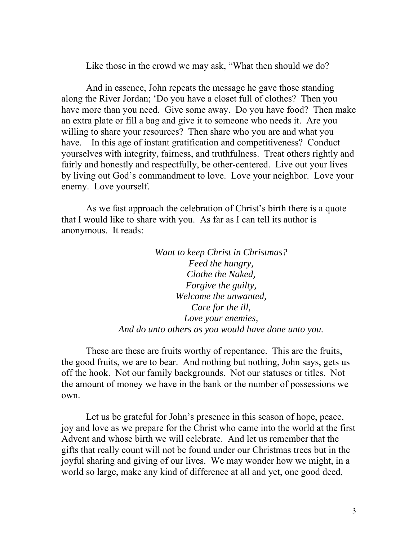Like those in the crowd we may ask, "What then should *we* do?

And in essence, John repeats the message he gave those standing along the River Jordan; 'Do you have a closet full of clothes? Then you have more than you need. Give some away. Do you have food? Then make an extra plate or fill a bag and give it to someone who needs it. Are you willing to share your resources? Then share who you are and what you have. In this age of instant gratification and competitiveness? Conduct yourselves with integrity, fairness, and truthfulness. Treat others rightly and fairly and honestly and respectfully, be other-centered. Live out your lives by living out God's commandment to love. Love your neighbor. Love your enemy. Love yourself.

As we fast approach the celebration of Christ's birth there is a quote that I would like to share with you. As far as I can tell its author is anonymous. It reads:

> *Want to keep Christ in Christmas? Feed the hungry, Clothe the Naked, Forgive the guilty, Welcome the unwanted, Care for the ill, Love your enemies, And do unto others as you would have done unto you.*

These are these are fruits worthy of repentance. This are the fruits, the good fruits, we are to bear. And nothing but nothing, John says, gets us off the hook. Not our family backgrounds. Not our statuses or titles. Not the amount of money we have in the bank or the number of possessions we own.

Let us be grateful for John's presence in this season of hope, peace, joy and love as we prepare for the Christ who came into the world at the first Advent and whose birth we will celebrate. And let us remember that the gifts that really count will not be found under our Christmas trees but in the joyful sharing and giving of our lives. We may wonder how we might, in a world so large, make any kind of difference at all and yet, one good deed,